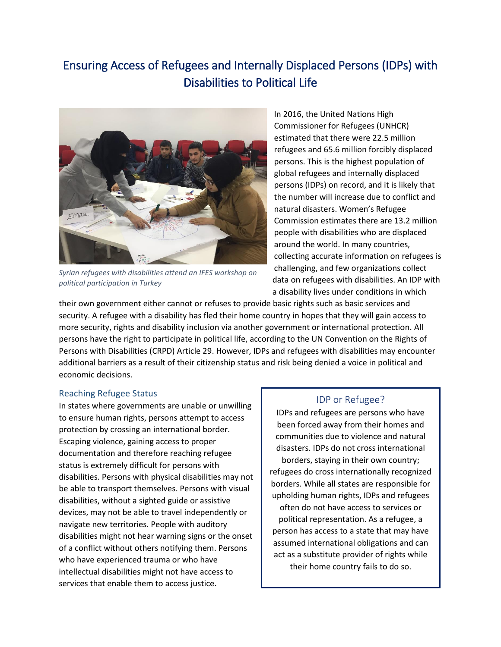# Ensuring Access of Refugees and Internally Displaced Persons (IDPs) with Disabilities to Political Life



*Syrian refugees with disabilities attend an IFES workshop on political participation in Turkey*

In 2016, the United Nations High Commissioner for Refugees (UNHCR) estimated that there were 22.5 million refugees and 65.6 million forcibly displaced persons. This is the highest population of global refugees and internally displaced persons (IDPs) on record, and it is likely that the number will increase due to conflict and natural disasters. Women's Refugee Commission estimates there are 13.2 million people with disabilities who are displaced around the world. In many countries, collecting accurate information on refugees is challenging, and few organizations collect data on refugees with disabilities. An IDP with a disability lives under conditions in which

their own government either cannot or refuses to provide basic rights such as basic services and security. A refugee with a disability has fled their home country in hopes that they will gain access to more security, rights and disability inclusion via another government or international protection. All persons have the right to participate in political life, according to the UN Convention on the Rights of Persons with Disabilities (CRPD) Article 29. However, IDPs and refugees with disabilities may encounter additional barriers as a result of their citizenship status and risk being denied a voice in political and economic decisions.

### Reaching Refugee Status

In states where governments are unable or unwilling to ensure human rights, persons attempt to access protection by crossing an international border. Escaping violence, gaining access to proper documentation and therefore reaching refugee status is extremely difficult for persons with disabilities. Persons with physical disabilities may not be able to transport themselves. Persons with visual disabilities, without a sighted guide or assistive devices, may not be able to travel independently or navigate new territories. People with auditory disabilities might not hear warning signs or the onset of a conflict without others notifying them. Persons who have experienced trauma or who have intellectual disabilities might not have access to services that enable them to access justice.

### IDP or Refugee?

IDPs and refugees are persons who have been forced away from their homes and communities due to violence and natural disasters. IDPs do not cross international borders, staying in their own country; refugees do cross internationally recognized borders. While all states are responsible for upholding human rights, IDPs and refugees often do not have access to services or political representation. As a refugee, a person has access to a state that may have assumed international obligations and can act as a substitute provider of rights while their home country fails to do so.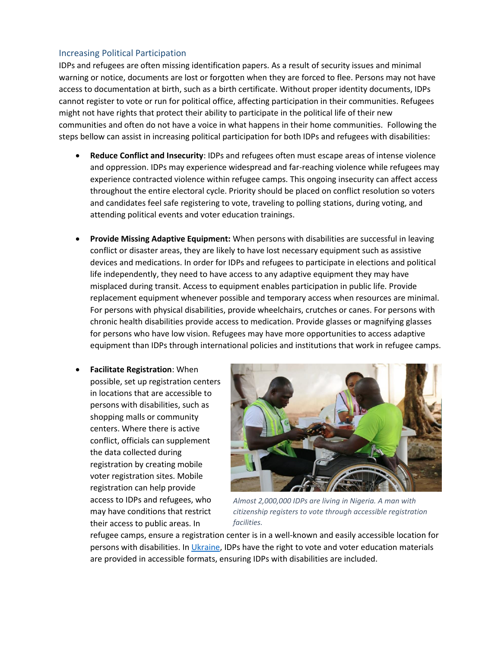#### Increasing Political Participation

IDPs and refugees are often missing identification papers. As a result of security issues and minimal warning or notice, documents are lost or forgotten when they are forced to flee. Persons may not have access to documentation at birth, such as a birth certificate. Without proper identity documents, IDPs cannot register to vote or run for political office, affecting participation in their communities. Refugees might not have rights that protect their ability to participate in the political life of their new communities and often do not have a voice in what happens in their home communities. Following the steps bellow can assist in increasing political participation for both IDPs and refugees with disabilities:

- **Reduce Conflict and Insecurity**: IDPs and refugees often must escape areas of intense violence and oppression. IDPs may experience widespread and far-reaching violence while refugees may experience contracted violence within refugee camps. This ongoing insecurity can affect access throughout the entire electoral cycle. Priority should be placed on conflict resolution so voters and candidates feel safe registering to vote, traveling to polling stations, during voting, and attending political events and voter education trainings.
- **Provide Missing Adaptive Equipment:** When persons with disabilities are successful in leaving conflict or disaster areas, they are likely to have lost necessary equipment such as assistive devices and medications. In order for IDPs and refugees to participate in elections and political life independently, they need to have access to any adaptive equipment they may have misplaced during transit. Access to equipment enables participation in public life. Provide replacement equipment whenever possible and temporary access when resources are minimal. For persons with physical disabilities, provide wheelchairs, crutches or canes. For persons with chronic health disabilities provide access to medication. Provide glasses or magnifying glasses for persons who have low vision. Refugees may have more opportunities to access adaptive equipment than IDPs through international policies and institutions that work in refugee camps.
- **Facilitate Registration**: When possible, set up registration centers in locations that are accessible to persons with disabilities, such as shopping malls or community centers. Where there is active conflict, officials can supplement the data collected during registration by creating mobile voter registration sites. Mobile registration can help provide access to IDPs and refugees, who may have conditions that restrict their access to public areas. In



*Almost 2,000,000 IDPs are living in Nigeria. A man with citizenship registers to vote through accessible registration facilities.*

refugee camps, ensure a registration center is in a well-known and easily accessible location for persons with disabilities. In *Ukraine*, IDPs have the right to vote and voter education materials are provided in accessible formats, ensuring IDPs with disabilities are included.